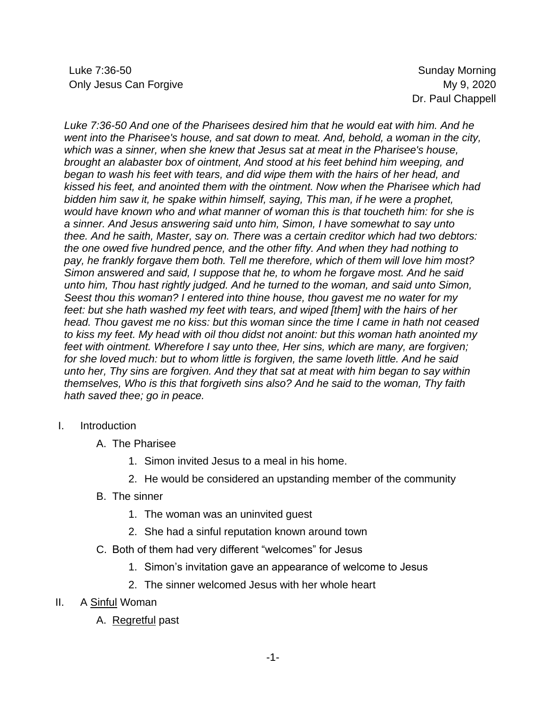Luke 7:36-50 Sunday Morning Only Jesus Can Forgive **My 9, 2020** 

*Luke 7:36-50 And one of the Pharisees desired him that he would eat with him. And he went into the Pharisee's house, and sat down to meat. And, behold, a woman in the city, which was a sinner, when she knew that Jesus sat at meat in the Pharisee's house, brought an alabaster box of ointment, And stood at his feet behind him weeping, and began to wash his feet with tears, and did wipe them with the hairs of her head, and kissed his feet, and anointed them with the ointment. Now when the Pharisee which had bidden him saw it, he spake within himself, saying, This man, if he were a prophet, would have known who and what manner of woman this is that toucheth him: for she is a sinner. And Jesus answering said unto him, Simon, I have somewhat to say unto thee. And he saith, Master, say on. There was a certain creditor which had two debtors: the one owed five hundred pence, and the other fifty. And when they had nothing to pay, he frankly forgave them both. Tell me therefore, which of them will love him most? Simon answered and said, I suppose that he, to whom he forgave most. And he said unto him, Thou hast rightly judged. And he turned to the woman, and said unto Simon, Seest thou this woman? I entered into thine house, thou gavest me no water for my feet: but she hath washed my feet with tears, and wiped [them] with the hairs of her head. Thou gavest me no kiss: but this woman since the time I came in hath not ceased to kiss my feet. My head with oil thou didst not anoint: but this woman hath anointed my feet with ointment. Wherefore I say unto thee, Her sins, which are many, are forgiven; for she loved much: but to whom little is forgiven, the same loveth little. And he said unto her, Thy sins are forgiven. And they that sat at meat with him began to say within themselves, Who is this that forgiveth sins also? And he said to the woman, Thy faith hath saved thee; go in peace.*

## I. Introduction

- A. The Pharisee
	- 1. Simon invited Jesus to a meal in his home.
	- 2. He would be considered an upstanding member of the community
- B. The sinner
	- 1. The woman was an uninvited guest
	- 2. She had a sinful reputation known around town
- C. Both of them had very different "welcomes" for Jesus
	- 1. Simon's invitation gave an appearance of welcome to Jesus
	- 2. The sinner welcomed Jesus with her whole heart
- II. A Sinful Woman
	- A. Regretful past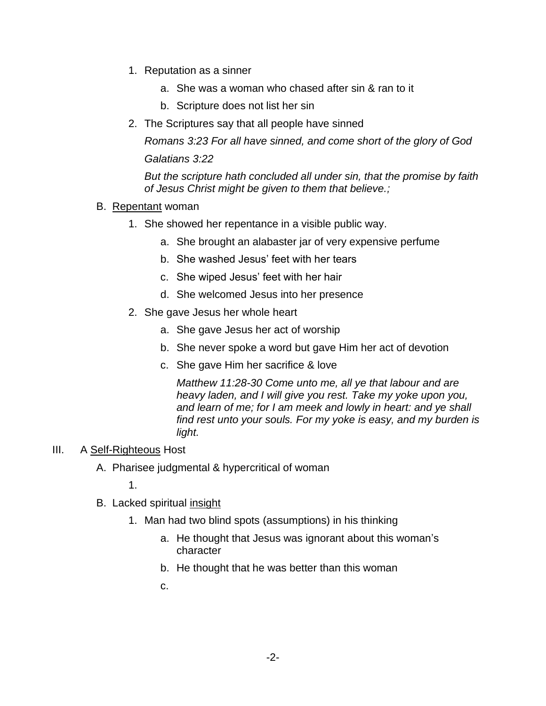- 1. Reputation as a sinner
	- a. She was a woman who chased after sin & ran to it
	- b. Scripture does not list her sin
- 2. The Scriptures say that all people have sinned

*Romans 3:23 For all have sinned, and come short of the glory of God Galatians 3:22* 

*But the scripture hath concluded all under sin, that the promise by faith of Jesus Christ might be given to them that believe.;*

- B. Repentant woman
	- 1. She showed her repentance in a visible public way.
		- a. She brought an alabaster jar of very expensive perfume
		- b. She washed Jesus' feet with her tears
		- c. She wiped Jesus' feet with her hair
		- d. She welcomed Jesus into her presence
	- 2. She gave Jesus her whole heart
		- a. She gave Jesus her act of worship
		- b. She never spoke a word but gave Him her act of devotion
		- c. She gave Him her sacrifice & love

*Matthew 11:28-30 Come unto me, all ye that labour and are heavy laden, and I will give you rest. Take my yoke upon you, and learn of me; for I am meek and lowly in heart: and ye shall find rest unto your souls. For my yoke is easy, and my burden is light.*

## III. A Self-Righteous Host

A. Pharisee judgmental & hypercritical of woman

1.

- B. Lacked spiritual insight
	- 1. Man had two blind spots (assumptions) in his thinking
		- a. He thought that Jesus was ignorant about this woman's character
		- b. He thought that he was better than this woman
		- c.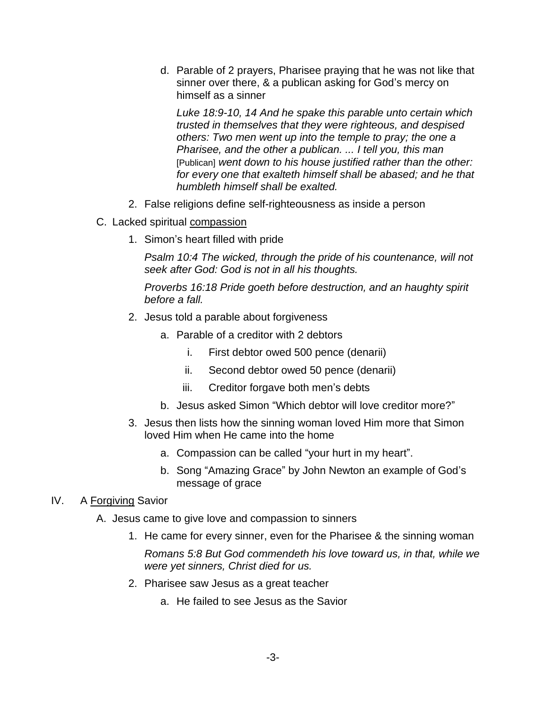d. Parable of 2 prayers, Pharisee praying that he was not like that sinner over there, & a publican asking for God's mercy on himself as a sinner

*Luke 18:9-10, 14 And he spake this parable unto certain which trusted in themselves that they were righteous, and despised others: Two men went up into the temple to pray; the one a Pharisee, and the other a publican. ... I tell you, this man*  [Publican] *went down to his house justified rather than the other: for every one that exalteth himself shall be abased; and he that humbleth himself shall be exalted.*

- 2. False religions define self-righteousness as inside a person
- C. Lacked spiritual compassion
	- 1. Simon's heart filled with pride

*Psalm 10:4 The wicked, through the pride of his countenance, will not seek after God: God is not in all his thoughts.*

*Proverbs 16:18 Pride goeth before destruction, and an haughty spirit before a fall.*

- 2. Jesus told a parable about forgiveness
	- a. Parable of a creditor with 2 debtors
		- i. First debtor owed 500 pence (denarii)
		- ii. Second debtor owed 50 pence (denarii)
		- iii. Creditor forgave both men's debts
	- b. Jesus asked Simon "Which debtor will love creditor more?"
- 3. Jesus then lists how the sinning woman loved Him more that Simon loved Him when He came into the home
	- a. Compassion can be called "your hurt in my heart".
	- b. Song "Amazing Grace" by John Newton an example of God's message of grace

## IV. A Forgiving Savior

- A. Jesus came to give love and compassion to sinners
	- 1. He came for every sinner, even for the Pharisee & the sinning woman

*Romans 5:8 But God commendeth his love toward us, in that, while we were yet sinners, Christ died for us.*

- 2. Pharisee saw Jesus as a great teacher
	- a. He failed to see Jesus as the Savior